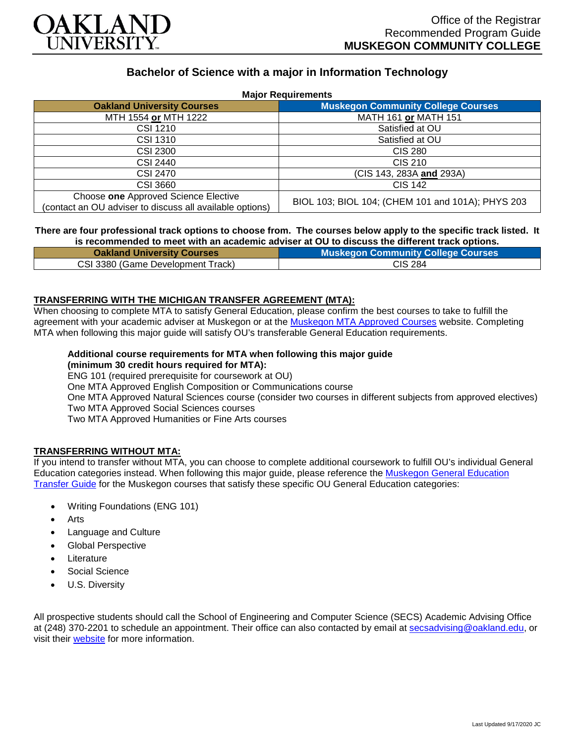

# **Bachelor of Science with a major in Information Technology**

| <b>Major Requirements</b>                                                                        |                                                   |
|--------------------------------------------------------------------------------------------------|---------------------------------------------------|
| <b>Oakland University Courses</b>                                                                | <b>Muskegon Community College Courses</b>         |
| MTH 1554 or MTH 1222                                                                             | MATH 161 or MATH 151                              |
| CSI 1210                                                                                         | Satisfied at OU                                   |
| <b>CSI 1310</b>                                                                                  | Satisfied at OU                                   |
| <b>CSI 2300</b>                                                                                  | CIS 280                                           |
| CSI 2440                                                                                         | <b>CIS 210</b>                                    |
| CSI 2470                                                                                         | (CIS 143, 283A and 293A)                          |
| <b>CSI 3660</b>                                                                                  | <b>CIS 142</b>                                    |
| Choose one Approved Science Elective<br>(contact an OU adviser to discuss all available options) | BIOL 103; BIOL 104; (CHEM 101 and 101A); PHYS 203 |

#### **There are four professional track options to choose from. The courses below apply to the specific track listed. It is recommended to meet with an academic adviser at OU to discuss the different track options.**

| <b>Oakland University Courses</b> | <b>Muskegon Community College Courses</b> |
|-----------------------------------|-------------------------------------------|
| CSI 3380 (Game Development Track) | <b>CIS 284</b>                            |

## **TRANSFERRING WITH THE MICHIGAN TRANSFER AGREEMENT (MTA):**

When choosing to complete MTA to satisfy General Education, please confirm the best courses to take to fulfill the agreement with your academic adviser at Muskegon or at the [Muskegon MTA Approved Courses](https://www.muskegoncc.edu/transferservices/michigan-transfer-agreement/) website. Completing MTA when following this major guide will satisfy OU's transferable General Education requirements.

## **Additional course requirements for MTA when following this major guide**

## **(minimum 30 credit hours required for MTA):**

ENG 101 (required prerequisite for coursework at OU)

One MTA Approved English Composition or Communications course

One MTA Approved Natural Sciences course (consider two courses in different subjects from approved electives)

Two MTA Approved Social Sciences courses

Two MTA Approved Humanities or Fine Arts courses

#### **TRANSFERRING WITHOUT MTA:**

If you intend to transfer without MTA, you can choose to complete additional coursework to fulfill OU's individual General Education categories instead. When following this major guide, please reference the [Muskegon General Education](https://www.oakland.edu/Assets/Oakland/program-guides/muskegon-community-college/university-general-education-requirements/Muskegon%20Gen%20Ed.pdf)  [Transfer Guide](https://www.oakland.edu/Assets/Oakland/program-guides/muskegon-community-college/university-general-education-requirements/Muskegon%20Gen%20Ed.pdf) for the Muskegon courses that satisfy these specific OU General Education categories:

- Writing Foundations (ENG 101)
- Arts
- Language and Culture
- Global Perspective
- **Literature**
- Social Science
- U.S. Diversity

All prospective students should call the School of Engineering and Computer Science (SECS) Academic Advising Office at (248) 370-2201 to schedule an appointment. Their office can also contacted by email at [secsadvising@oakland.edu,](mailto:secsadvising@oakland.edu) or visit their [website](https://wwwp.oakland.edu/secs/advising/) for more information.